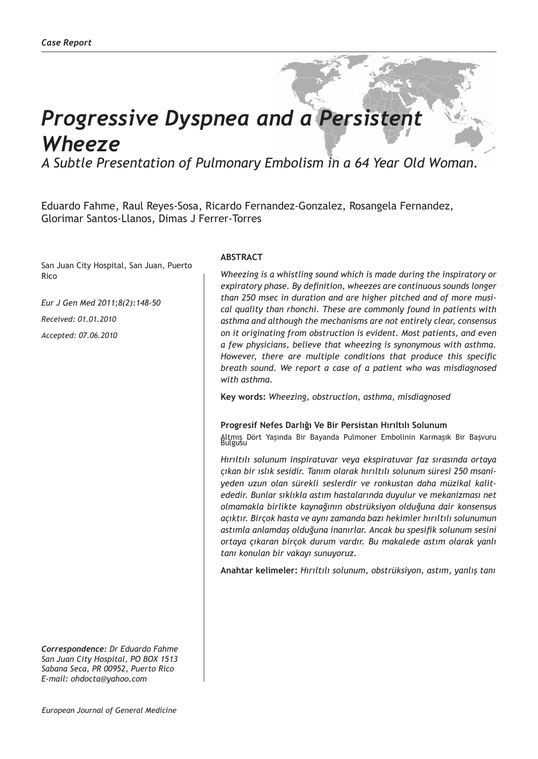# *Progressive Dyspnea and a Persistent Wheeze*

*A Subtle Presentation of Pulmonary Embolism in a 64 Year Old Woman.*

Eduardo Fahme, Raul Reyes-Sosa, Ricardo Fernandez-Gonzalez, Rosangela Fernandez, Glorimar Santos-Llanos, Dimas J Ferrer-Torres

San Juan City Hospital, San Juan, Puerto Rico

*Eur J Gen Med 2011;8(2):148-50 Received: 01.01.2010 Accepted: 07.06.2010*

*Correspondence: Dr Eduardo Fahme San Juan City Hospital, PO BOX 1513 Sabana Seca, PR 00952, Puerto Rico E-mail: ohdocta@yahoo.com*

## **ABSTRACT**

*Wheezing is a whistling sound which is made during the inspiratory or expiratory phase. By definition, wheezes are continuous sounds longer than 250 msec in duration and are higher pitched and of more musical quality than rhonchi. These are commonly found in patients with asthma and although the mechanisms are not entirely clear, consensus on it originating from obstruction is evident. Most patients, and even a few physicians, believe that wheezing is synonymous with asthma. However, there are multiple conditions that produce this specific breath sound. We report a case of a patient who was misdiagnosed with asthma.*

**Key words:** *Wheezing, obstruction, asthma, misdiagnosed*

### **Progresif Nefes Darlığı Ve Bir Persistan Hırıltılı Solunum**

Altmış Dört Yaşında Bir Bayanda Pulmoner Embolinin Karmaşık Bir Başvuru Bulgusu

*Hırıltılı solunum inspiratuvar veya ekspiratuvar faz sırasında ortaya çıkan bir ıslık sesidir. Tanım olarak hırıltılı solunum süresi 250 msaniyeden uzun olan sürekli seslerdir ve ronkustan daha müzikal kalitededir. Bunlar sıklıkla astım hastalarında duyulur ve mekanizması net olmamakla birlikte kaynağının obstrüksiyon olduğuna dair konsensus açıktır. Birçok hasta ve aynı zamanda bazı hekimler hırıltılı solunumun astımla anlamdaş olduğuna inanırlar. Ancak bu spesifik solunum sesini ortaya çıkaran birçok durum vardır. Bu makalede astım olarak yanlı tanı konulan bir vakayı sunuyoruz.*

**Anahtar kelimeler:** *Hırıltılı solunum, obstrüksiyon, astım, yanlış tanı*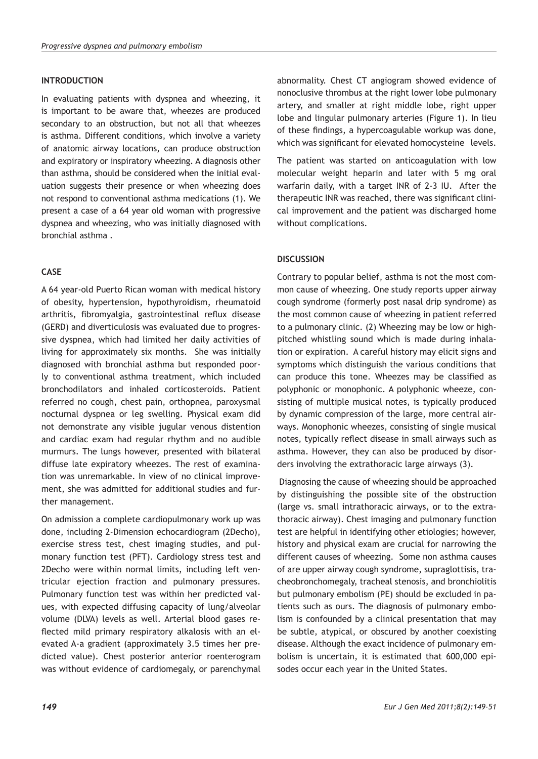## **INTRODUCTION**

In evaluating patients with dyspnea and wheezing, it is important to be aware that, wheezes are produced secondary to an obstruction, but not all that wheezes is asthma. Different conditions, which involve a variety of anatomic airway locations, can produce obstruction and expiratory or inspiratory wheezing. A diagnosis other than asthma, should be considered when the initial evaluation suggests their presence or when wheezing does not respond to conventional asthma medications (1). We present a case of a 64 year old woman with progressive dyspnea and wheezing, who was initially diagnosed with bronchial asthma .

# **CASE**

A 64 year-old Puerto Rican woman with medical history of obesity, hypertension, hypothyroidism, rheumatoid arthritis, fibromyalgia, gastrointestinal reflux disease (GERD) and diverticulosis was evaluated due to progressive dyspnea, which had limited her daily activities of living for approximately six months. She was initially diagnosed with bronchial asthma but responded poorly to conventional asthma treatment, which included bronchodilators and inhaled corticosteroids. Patient referred no cough, chest pain, orthopnea, paroxysmal nocturnal dyspnea or leg swelling. Physical exam did not demonstrate any visible jugular venous distention and cardiac exam had regular rhythm and no audible murmurs. The lungs however, presented with bilateral diffuse late expiratory wheezes. The rest of examination was unremarkable. In view of no clinical improvement, she was admitted for additional studies and further management.

On admission a complete cardiopulmonary work up was done, including 2-Dimension echocardiogram (2Decho), exercise stress test, chest imaging studies, and pulmonary function test (PFT). Cardiology stress test and 2Decho were within normal limits, including left ventricular ejection fraction and pulmonary pressures. Pulmonary function test was within her predicted values, with expected diffusing capacity of lung/alveolar volume (DLVA) levels as well. Arterial blood gases reflected mild primary respiratory alkalosis with an elevated A-a gradient (approximately 3.5 times her predicted value). Chest posterior anterior roenterogram was without evidence of cardiomegaly, or parenchymal

abnormality. Chest CT angiogram showed evidence of nonoclusive thrombus at the right lower lobe pulmonary artery, and smaller at right middle lobe, right upper lobe and lingular pulmonary arteries (Figure 1). In lieu of these findings, a hypercoagulable workup was done, which was significant for elevated homocysteine levels.

The patient was started on anticoagulation with low molecular weight heparin and later with 5 mg oral warfarin daily, with a target INR of 2-3 IU. After the therapeutic INR was reached, there was significant clinical improvement and the patient was discharged home without complications.

## **DISCUSSION**

Contrary to popular belief, asthma is not the most common cause of wheezing. One study reports upper airway cough syndrome (formerly post nasal drip syndrome) as the most common cause of wheezing in patient referred to a pulmonary clinic. (2) Wheezing may be low or highpitched whistling sound which is made during inhalation or expiration. A careful history may elicit signs and symptoms which distinguish the various conditions that can produce this tone. Wheezes may be classified as polyphonic or monophonic. A polyphonic wheeze, consisting of multiple musical notes, is typically produced by dynamic compression of the large, more central airways. Monophonic wheezes, consisting of single musical notes, typically reflect disease in small airways such as asthma. However, they can also be produced by disorders involving the extrathoracic large airways (3).

 Diagnosing the cause of wheezing should be approached by distinguishing the possible site of the obstruction (large vs. small intrathoracic airways, or to the extrathoracic airway). Chest imaging and pulmonary function test are helpful in identifying other etiologies; however, history and physical exam are crucial for narrowing the different causes of wheezing. Some non asthma causes of are upper airway cough syndrome, supraglottisis, tracheobronchomegaly, tracheal stenosis, and bronchiolitis but pulmonary embolism (PE) should be excluded in patients such as ours. The diagnosis of pulmonary embolism is confounded by a clinical presentation that may be subtle, atypical, or obscured by another coexisting disease. Although the exact incidence of pulmonary embolism is uncertain, it is estimated that 600,000 episodes occur each year in the United States.